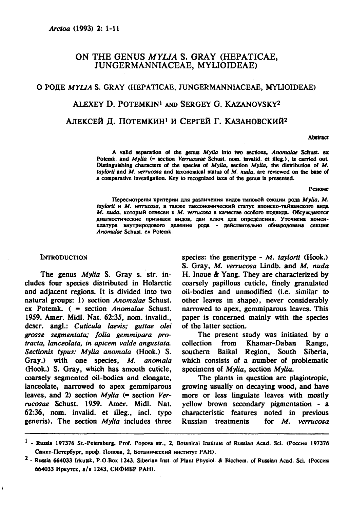# ON THE GENUS *MYUA* S. GRAY (HEPATICAE, JUNGERMANNIACEAE, MYLIOIDEAE)

# **РОД** *MYUA* **S. GRAY (HEPATICAE, JUNGERMANNIACEAE, MYLIOIDEAE)**

# **ALEXEY D. POTEMKIN<sup>1</sup> AND SERGEY G. KAZANOVSKY<sup>2</sup>**

Алексей Д. Потемкин<sup>1</sup> и Сергей Г. Казановский<sup>2</sup>

#### **Abstract**

**A valid separation of the genus** *Mylia* **into two sections,** *Anomalae* **Schust. ex**  Potemk. and *Mylia* (- section *Verrucosae* Schust. nom. invalid. et illeg.), is carried out. **Distinguishing characters of the species of** *Mylia,* **section** *Mylia,* **the distribution of** *M.*  taylorii and  $\overline{M}$ . verrucosa and taxonomical status of  $\overline{M}$ . nuda, are reviewed on the base of **a comparative investigation. Key to recognized taxa of the genus is presented.** 

**Резюме** 

Пересмотрены критерии для различения видов типовой секции рода *Mylia*, *M. taylorii М. verrucosa,* **такж таксономически стату японско-тайванског вида**  *М. nuda,* **которы отнесе к** *М. verrucosa* **качеств особог подвида. Обсуждаются**  диагностические признаки видов, дан ключ для определения. Уточнена номен**клатур внутриродовог делени род - действительн обнародован секция**  *Anomalae* **Schust. ex Potemk.** 

#### **INTRODUCTION**

*\* 

**The genus** *Mylia* **S. Gray s. str. includes four species distributed in Holarctic and adjacent regions. It is divided into two natural groups: 1) section** *Anomalae* **Schust.**  ex Potemk. ( = section *Anomalae* Schust. **1959. Amer. Midi. Nat. 62:35, nom. invalid., descr. angl.:** *Cuticula laevis; guttae olei grosse segmentate folia gemmipara protracta, lanceolata, in apicem valde angustata. Sectionis typus: Mylia anomala* **(Hook.) S. Gray.) with one species,** *M. anomala*  **(Hook.) S. Gray, which has smooth cuticle, coarsely segmented oil-bodies and elongate, lanceolate, narrowed to apex gemmiparous**  leaves, and 2) section *Mylia* (= section *Verrucosae* **Schust. 1959. Amer. Midi. Nat. 62:36, nom. invalid, et illeg., incl. typo generis). The section** *Mylia* **includes three**  **species: the generitype -** *M. taylorii* **(Hook.) S. Gray,** *M. verrucosa* **Lindb. and** *M. nuda*  **H. Inoue** *&* **Yang. They are characterized by coarsely papillous cuticle, finely granulated oil-bodies and unmodified (i.e. similar to other leaves in shape), never considerably narrowed to apex, gemmiparous leaves. This paper is concerned mainly with the species of the latter section.** 

**The present study was initiated by a collection from Khamar-Daban Range, southern Baikal Region, South Siberia, which consists of a number of problematic specimens of** *Mylia,* **section** *Mylia.* 

**The plants in question are plagiotropic, growing usually on decaying wood, and have**  more or less lingulate leaves with mostly **yellow brown secondary pigmentation - a characteristic features noted in previous Russian treatments for** *M. verrucosa* 

**<sup>1</sup> - Russia 197376 St.-Petersburg, Prof. Popova str., 2, Botanical Institute of Russian Acad. Sci. (Росси 197376 Санкт-Петербург, проф. Попова, 2, Ботанически институ РАН).** 

**<sup>2</sup> - Russia 664033 Irkutsk, P.O.Box 1243, Siberian Inst, of Plant Physiol.** *&* **Blochem. of Russian Acad. Sci. (Россия**   $664033$  Иркутск, а/я 1243, СИФИБР РАН).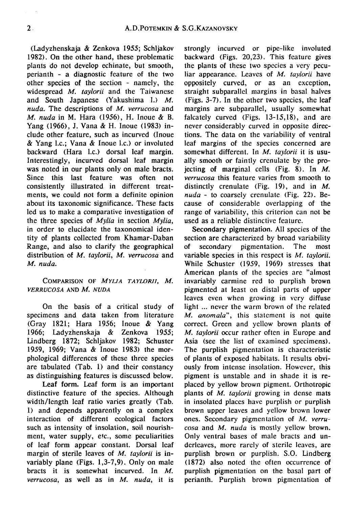(Ladyzhenskaja & Zenkova 1955; Schljakov 1982). On the other hand, these problematic plants do not develop echinate, but smooth, perianth - a diagnostic feature of the two other species of the section - namely, the widespread *M. taylorii* and the Taiwanese and South Japanese (Yakushima I.) M. *nuda.* The descriptions of *M. verrucosa* and *M. nuda* in M. Hara (1956), H. Inoue *&* B. Yang (1966), J. Vana & H. Inoue (1983) include other feature, such as incurved (Inoue & Yang I.c.; Vana *&* Inoue I.c.) or involuted backward (Hara I.c.) dorsal leaf margin. Interestingly, incurved dorsal leaf margin was noted in our plants only on male bracts. Since this last feature was often not consistently illustrated in different treatments, we could not form a definite opinion about its taxonomic significance. These facts led us to make a comparative investigation of the three species of *Mylia* in section *Mylia,*  in order to elucidate the taxonomical identity of plants collected from Khamar-Daban Range, and also to clarify the geographical distribution of *M. taylorii, M. verrucosa* and *M. nuda.* 

## COMPARISON OF *MYLIA TAYLORII, M. VERRUCOSA* AND *M. NUDA*

On the basis of a critical study of specimens and data taken from literature (Gray 1821; Hara 1956; Inoue *&* Yang 1966; Ladyzhenskaja *&* Zenkova 1955; Lindberg 1872; Schljakov 1982; Schuster 1959, 1969; Vana *&* Inoue 1983) the morphological differences of these three species are tabulated (Tab. 1) and their constancy as distinguishing features is discussed below.

Leaf form. Leaf form is an important distinctive feature of the species. Although width/length leaf ratio varies greatly (Tab. 1) and depends apparently on a complex interaction of different ecological factors such as intensity of insolation, soil nourishment, water supply, etc., some peculiarities of leaf form appear constant. Dorsal leaf margin of sterile leaves of *M. taylorii* is invariably plane (Figs. 1,3-7,9). Only on male bracts it is somewhat incurved. In *M. verrucosa,* as well as in *M. nuda,* it is

strongly incurved or pipe-like involuted backward (Figs. 20,23). This feature gives the plants of these two species a very peculiar appearance. Leaves of *M. taylorii* have oppositely curved, or as an exception, straight subparallel margins in basal halves (Figs. 3-7). In the other two species, the leaf margins are subparallel, usually somewhat falcately curved (Figs. 13-15,18), and are never considerably curved in opposite directions. The data on the variability of ventral leaf margins of the species concerned are somewhat different. In *M. taylorii* it is usually smooth or faintly crenulate by the projecting of marginal cells (Fig. 8). In *M. verrucosa* this feature varies from smooth to distinctly crenulate (Fig. 19), and in *M. nuda -* to coarsely crenulate (Fig. 22). Because of considerable overlapping of the range of variability, this criterion can not be used as a reliable distinctive feature.

Secondary pigmentation. All species of the section are characterized by broad variability of secondary pigmentation. The most variable species in this respect is *M. taylorii.*  While Schuster (1959, 1969) stresses that American plants of the species are "almost invariably carmine red to purplish brown pigmented at least on distal parts of upper leaves even when growing in very diffuse light ... never the warm brown of the related *M. anomala",* this statement is not quite correct. Green and yellow brown plants of *M. taylorii* occur rather often in Europe and Asia (see the list of examined specimens). The purplish pigmentation is characteristic of plants of exposed habitats. It results obviously from intense insolation. However, this pigment is unstable and in shade it is replaced by yellow brown pigment. Orthotropic plants of *M. taylorii* growing in dense mats in insolated places have purplish or purplish brown upper leaves and yellow brown lower ones. Secondary pigmentation of *M. verrucosa* and *M. nuda* is mostly yellow brown. Only ventral bases of male bracts and underleaves, more rarely of sterile leaves, are purplish brown or purplish. S.O. Lindberg (1872) also noted the often occurrence of purplish pigmentation on the basal part of perianth. Purplish brown pigmentation of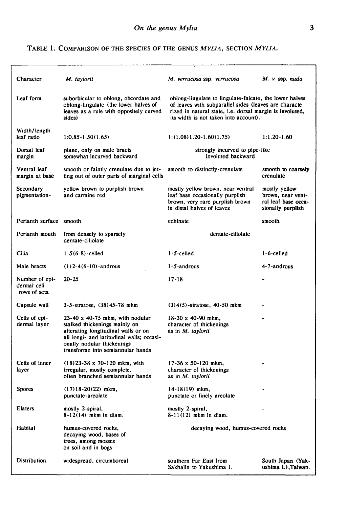| Character                                     | M. taylorii                                                                                                                                                                                                                    | M. verrucosa ssp. verrucosa                                                                                                                                                                                           | $M.$ v. ssp. nuda                                                              |
|-----------------------------------------------|--------------------------------------------------------------------------------------------------------------------------------------------------------------------------------------------------------------------------------|-----------------------------------------------------------------------------------------------------------------------------------------------------------------------------------------------------------------------|--------------------------------------------------------------------------------|
| Leaf form                                     | suborbicular to oblong, obcordate and<br>oblong-lingulate (the lower halves of<br>leaves as a rule with oppositely curved<br>sides)                                                                                            | oblong-lingulate to lingulate-falcate, the lower halves<br>of leaves with subparallel sides (leaves are characte<br>rized in natural state, i.e. dorsal margin is involuted,<br>its width is not taken into account). |                                                                                |
| Width/length<br>leaf ratio                    | $1:0.85 - 1.50(1.65)$                                                                                                                                                                                                          | $1:(1.08)1:20-1.60(1.75)$                                                                                                                                                                                             | $1:1.20-1.60$                                                                  |
| Dorsal leaf<br>margin                         | plane, only on male bracts<br>somewhat incurved backward                                                                                                                                                                       | strongly incurved to pipe-like<br>involuted backward                                                                                                                                                                  |                                                                                |
| Ventral leaf<br>margin at base                | smooth or faintly crenulate due to jet-<br>ting out of outer parts of marginal cells                                                                                                                                           | smooth to distinctly-crenulate                                                                                                                                                                                        | smooth to coarsely<br>crenulate                                                |
| Secondary<br>pigmentation-                    | yellow brown to purplish brown<br>and carmine red                                                                                                                                                                              | mostly yellow brown, near ventral<br>leaf base occasionally purplish<br>brown, very rare purplish brown<br>in distal halves of leaves                                                                                 | mostly yellow<br>brown, near vent-<br>ral leaf base occa-<br>sionally purplish |
| Perianth surface smooth                       |                                                                                                                                                                                                                                | echinate                                                                                                                                                                                                              | smooth                                                                         |
| Perianth mouth                                | from densely to sparsely<br>dentate-ciliolate                                                                                                                                                                                  | dentate-ciliolate                                                                                                                                                                                                     |                                                                                |
| Cilia                                         | $1 - 5(6 - 8)$ -celled                                                                                                                                                                                                         | $1-5$ -celled                                                                                                                                                                                                         | 1-6-celled                                                                     |
| Male bracts                                   | $(1)$ 2-4 $(6-10)$ -androus                                                                                                                                                                                                    | $1 - 5$ -androus                                                                                                                                                                                                      | 4-7-androus                                                                    |
| Number of epi-<br>dermal cell<br>rows of seta | 20-25                                                                                                                                                                                                                          | $17 - 18$                                                                                                                                                                                                             |                                                                                |
| Capsule wall                                  | 3-5-stratose, (38)45-78 mkm                                                                                                                                                                                                    | $(3)4(5)$ -stratose, 40-50 mkm                                                                                                                                                                                        |                                                                                |
| Cells of epi-<br>dermal layer                 | $23-40 \times 40-75$ mkm, with nodular<br>stalked thickenings mainly on<br>alterating longitudinal walls or on<br>all longi- and latitudinal walls; occasi-<br>onally nodular thickenings<br>transforme into semiannular bands | $18-30 \times 40-90$ mkm,<br>character of thickenings<br>as in M. taylorii                                                                                                                                            |                                                                                |
| Cells of inner<br>layer                       | $(18)$ 23-38 x 70-120 mkm, with<br>irregular, mostly complete,<br>often branched semiannular bands                                                                                                                             | $17-36 \times 50-120$ mkm.<br>character of thickenings<br>as in M. taylorii                                                                                                                                           |                                                                                |
| <b>Spores</b>                                 | $(17)18 - 20(22)$ mkm,<br>punctate-areolate                                                                                                                                                                                    | 14-18(19) mkm,<br>punctate or finely areolate                                                                                                                                                                         |                                                                                |
| Elaters                                       | mostly 2-spiral,<br>$8-12(14)$ mkm in diam.                                                                                                                                                                                    | mostly 2-spiral,<br>$8-11(12)$ mkm in diam.                                                                                                                                                                           |                                                                                |
| Habitat                                       | humus-covered rocks,<br>decaying wood, bases of<br>trees, among mosses<br>on soil and in bogs                                                                                                                                  | decaying wood, humus-covered rocks                                                                                                                                                                                    |                                                                                |
| Distribution                                  | widespread, circumboreal                                                                                                                                                                                                       | southern Far East from<br>Sakhalin to Yakushima I.                                                                                                                                                                    | South Japan (Yak-<br>ushima I.), Taiwan.                                       |

# TABLE 1. COMPARISON OF THE SPECIES OF THE GENUS *MYLIA,* SECTION *MYLIA.*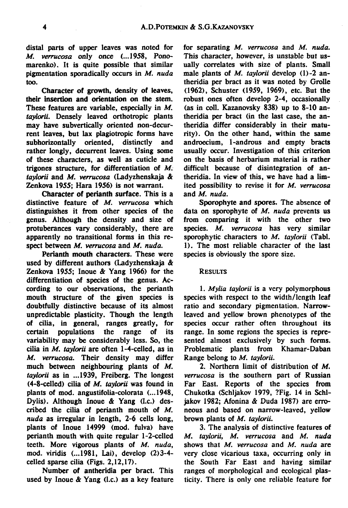distal parts of upper leaves was noted for *M. verrucosa* only once (...1958, Ponomarenko). It is quite possible that similar pigmentation sporadically occurs in *M. nuda*  too.

Character of growth, density of leaves, their **insertion and** orientation on the stem. These features are variable, especially in M. *taylorii.* Densely leaved orthotropic plants may have subvertically oriented non-decurrent leaves, but lax plagiotropic forms have subhorizontally oriented, distinctly and rather longly, decurrent leaves. Using some of these characters, as well as cuticle and trigones structure, for differentiation of *M. taylorii* and *M. verrucosa* (Ladyzhenskaja *&*  Zenkova 1955; Hara 1956) is not warrant.

Character of perianth surface. This is a distinctive feature of *M. verrucosa* which distinguishes it from other species of the genus. Although the density and size of protuberances vary considerably, there are apparently no transitional forms in this respect between *M. verrucosa* and *M. nuda.* 

**Perianth mouth characters.** These were used by different authors (Ladyzhenskaja *&*  Zenkova 1955; Inoue *&* Yang 1966) for the differentiation of species of the genus. According to our observations, the perianth mouth structure of the given species is doubtfully distinctive because of its almost unpredictable plasticity. Though the length of cilia, in general, ranges greatly, for certain populations the range of its variability may be considerably less. So, the cilia in *M. taylorii* are often 1-4-celled, as in *M. verrucosa.* Their density may differ much between neighbouring plants of *M. taylorii* as in ...1939, Freiberg. The longest (4-8-celled) cilia of *M. taylorii* was found in plants of mod. angustifolia-colorata (...1948, Dylis). Although Inoue *&* Yang (I.e.) described the cilia of perianth mouth of *M. nuda* as irregular in length, 2-6 cells long, plants of Inoue 14999 (mod. fulva) have perianth mouth with quite regular 1-2-celled teeth. More vigorous plants of *M. nuda,*  mod. viridis (...1981, Lai), develop (2)3-4 celled sparse cilia (Figs. 2,12,17).

Number of antheridia per bract. This used by Inoue *&* Yang (I.c.) as a key feature for separating *M. verrucosa* and *M. nuda.*  This character, however, is unstable but usually correlates with size of plants. Small male plants of *M. taylorii* develop (l)-2 antheridia per bract as it was noted by Grolle (1962), Schuster (1959, 1969), etc. But the robust ones often develop 2-4, occasionally (as in coll. Kazanovsky 838) up to 8-10 antheridia per bract (in the last case, the antheridia differ considerably in their maturity). On the other hand, within the same androecium, 1-androus and empty bracts usually occur. Investigation of this criterion on the basis of herbarium material is rather difficult because of disintegration of antheridia. In view of this, we have had a limited possibility to revise it for *M. verrucosa*  and *M. nuda.* 

Sporophyte and spores. The absence of data on sporophyte of *M. nuda* prevents us from comparing it with the other two species. *M. verrucosa* has very similar sporophytic characters to *M. taylorii* (Tabl. 1). The most reliable character of the last species is obviously the spore size.

### **RESULTS**

1. *Mylia taylorii* is a very polymorphous species with respect to the width/length leaf ratio and secondary pigmentation. Narrowleaved and yellow brown phenotypes of the species occur rather often throughout its range. In some regions the species is represented almost exclusively by such forms. Problematic plants from Khamar-Daban Range belong to *M. taylorii.* 

*2.* Northern limit of distribution of *M. verrucosa* is the southern part of Russian Far East. Reports of the species from Chukotka (Schljakov 1979, ?Fig. 14 in Schljakov 1982; Afonina *&* Duda 1987) are erroneous and based on narrow-leaved, yellow brown plants of *M. taylorii.* 

3. The analysis of distinctive features of *M. taylorii, M. verrucosa* and *M. nuda*  shows that *M. verrucosa* and *M. nuda* are very close vicarious taxa, occurring only in the South Far East and having similar ranges of morphological and ecological plasticity. There is only one reliable feature for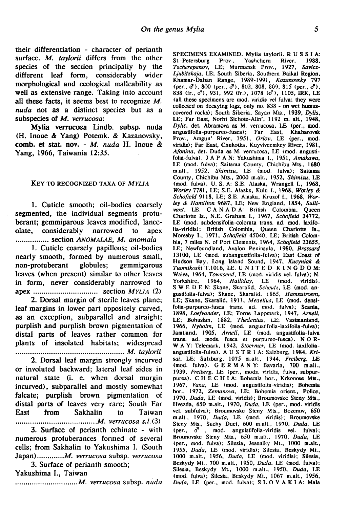their differentiation - character of perianth surface. *M. taylorii* differs from the other species of the section principally by the different leaf form, considerably wider morphological and ecological malleability as well as extensive range. Taking into account all these facts, it seems best to recognize *M. nuda* not as a distinct species but as a subspecies of *M. verrucosa:* 

**Mylia verrucosa** Lindb. subsp. nuda (H. Inoue *&* Yang) Potemk. & Kazanovsky, **comb, et stat. nov.** - *M. nuda* H. Inoue *&*  Yang, 1966, Taiwania *12:35.* 

### KEY TO RECOGNIZED TAXA OF *MYLIA*

1. Cuticle smooth; oil-bodies coarsely segmented, the individual segments protuberant; gemmiparous leaves modified, lanceolate, considerably narrowed to apex section *ANOMALAE, M. anomala* 

1. Cuticle coarsely papillous; oil-bodies nearly smooth, formed by numerous small, non-protuberant globules; gemmiparous leaves (when present) similar to other leaves in form, never considerably narrowed to apex  $\ldots$  section  $MYLLA$  (2)

2. Dorsal margin of sterile leaves plane; leaf margins in lower part oppositely curved, as an exception, subparallel and straight; purplish and purplish brown pigmentation of distal parts of leaves rather common for plants of insolated habitats; widespread *M. taylorii* 

2. Dorsal leaf margin strongly incurved or involuted backward; lateral leaf sides in natural state (i. e. when dorsal margin incurved), subparallel and mostly somewhat falcate; purplish brown pigmentation of distal parts of leaves very rare; South Far East from Sakhalin to Taiwan *M. verrucosa* s./.(3)

3. Surface of perianth echinate - with numerous protuberances formed of several cells; from Sakhalin to Yakushima I. (South Japan)...............*M. verrucosa* subsp. verrucosa

3. Surface of perianth smooth; Yakushima I., Taiwan

*M. verrucosa* subsp. *nuda* 

SPECIMENS EXAMINED. Mylia taylorii. R U S S I A: St.-Petersburg Prov., Yashchera River, 1988, *Tscherepanov,* LE; Murmansk Prov., 1927, *Savicz-Ljubitzkaja,* LE; South Siberia, Southern Baikal Region, Khamar-Daban Range, 1989-1991, *Kazanovsky* 797 (per.,  $\sigma$ ), 800 (per.,  $\sigma$ ), 802, 808, 809, 815 (per.,  $\sigma$ ), 838 (fr., o<sup>x</sup>), 931, 992 (fr.), 1078 (o<sup>z</sup>), 1105, IRK, LE (all these specimens are mod. viridis vel fulva; they were collected on decaying logs, only no. 838 - on wet humuscovered rocks); South Siberia, Sayan Mts., 1939, *Dylis,*  LE; Far East, Norht Sichote-Alin', 1192 m. alt., 1948, *Dylis,* det. Abramova as M. verrucosa, LE (per., mod. angustifolia-purpureo-fusca); Far East, Khabarovsk Prov., Amgun' River, 1951, *Orlov,* LE (per., mod. viridis); Far East, Chukotka, Kuyviveemkey River, 1981, *Afonina,* det. Duda as M. verrucosa, LE (mod. angustifolia-fulva). JAPAN : Yakushima I., 1951, *Amakawa,*  LE (mod. fulva); Saitama County, Chichibu Mts., 1680 m.ait., 1952, *Shimizu,* LE (mod. fulva); Saitama County, Chichibu Mts., 2000 m.ait., 1952, *Shimizu,* LE (mod. fulva). U. S. A: S.E. Alaska, Wrangell I., 1968, *Worley* 7781, LE; S.E. Alaska, Kuiu I., 1968, *Worley & Scnofield* 9118, LE; S.E. Alaska, Kruzof I., 1968, *Worley & Hamilton* 9687, LE; New England, 1854, *Sullivant*, LE. CANADA: British Colombia, Queen Charlotte Is., N.E. Graham I., 1967, *Scnofield* 34772, LE (mod. subdensifolia-colorata trans, ad. mod. laxifolia-viridis); British Colombia, Queen Charlotte Is., ma-virials); British Colombia, Queen Charlotte is.,<br>Marsche L. 1971, Schoffeld 45040, LE; British Colom Moresby I., 1971, Schofield 45040, LE; British Colombia, 7 miles N. of Port Clements, 1964, Schofield 23655, LE; Newfoundland, Avalon Peninsula, 1980, Brassard 13100, LE (mod. subangustifolia-fulva); East Coast of Hudson Bay, Long Island Sound, 1947, Kucyniak & Tuomikoski T.1016, LE. UNITED KINGDOM: Wales, 1964, Townsend, LE (mod. viridis vel. fulva); N. Yorkshire, 1964, *Halliday*, LE (mod. viridis). g W E D E N: Skane, Skaralid, Scheutz, LE (mod. angustifolia-fulva); Skane, Skaralid, 1865, *Hamnstroem*, LE; Skane, Skaralid, 1911, Medelius, LE (mod. densifolia-purpureo-fusca trans. ad. mod. fulva); Scania, 1898, Loefvander, LE; Torne Lappmark, 1947, Arnell, LE; Bohuslan, 1882, Thedenius, LE; Vastmanland, 1966, *Nyholm,* LE (mod. angustifolia-laxifolia-fulva); Jamtland, 1905, *Arnell,* LE (mod. angustifolia-fulva trans, ad. mods, fusca et purpureo-fusca). NOR-WAY: Telemark, 1942, *Stoermer,* LE (mod. laxifoliaangustifolia-fulva). A U S T R I A: Salzburg, 1984, Kri*sai,* LE; Salzburg, 1075 m.ait., 1944, *Freiberg,* LE (mod. fulva). GERMANY: Bavaria, 700 m.alt., 1939, *Freiberg,* LE (per., mods, viridis, fulva, subpurpurea). CHECHIA: Bohemia bor., Krkonose Mts., 1967, Vana, LE (mod. angustifolia-viridis); Bohemia bor., 1972, *Zemanova,* LE; Bohemia orient., Police, 1970, *Duda,* LE (mod. viridis); Broumovske Steny Mts., Hvezda, 650 m.ait, 1970, *Duda,* LE (per., mod. viridis vel. subfulva); Broumovske Steny Mts., Bozenov, 650 m.ait., 1970, *Duda,* LE (mod. viridis); Broumovske Steny Mts., Suchy Duel, 600 m.ait., 1970, *Duda,* LE (per.,  $\sigma^4$ , mod. anguistifolia-viridis vel. fulva); Brounovske Steny Mts., 650 m.ait., 1970, *Duda,* LE (per., mod. fulva); Silesia, Jeseniky Mt, 1000 m.ait., 1955, *Duda,* LE (mod. viridis); Silesia, Beskydy Mt., 1000 m.ait., 1956, *Duda,* LE (mod. viridis); Silesia, Beskydy Mt., 700 m.ait., 1950, *Duda,* LE (mod. fulva); Silesia, Beskydy Mt., 1000 m.ait., 1950, *Duda,* LE (mod. fulva); Silesia, Beskydy Mt., 1067 m.ait., 1956, *Duda*, LE (per., mod. fulva); SLOVAKIA: Mala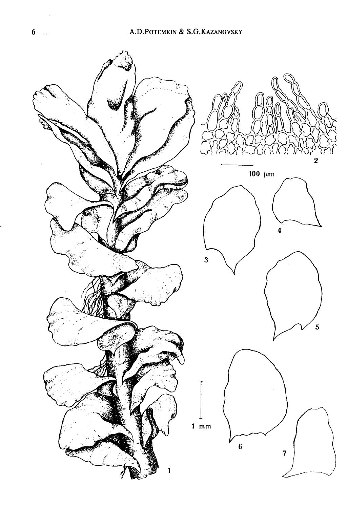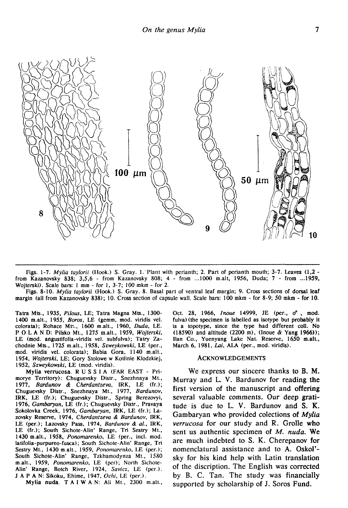

Figs. 1-7. *Mylia taylorii* (Hook.) S. Gray. 1. Plant with perianth; 2. Part of perianth mouth; 3-7. Leaves (1,2 from Kazanovsky 838; 3,5,6 - from Kazanovsky 808; 4 - from ...1000 m.alt, 1956, Duda; 7 - from ...1959, Wojterski). Scale bars: 1 mm - for 1, 3-7; 100 mkm - for 2.

Figs. 8-10. *Mylia taylorii* (Hook.) S. Gray. 8. Basal part of ventral leaf margin; 9. Cross sections of dorsal leaf margin (all from Kazanovsky 838); 10. Cross section of capsule wall. Scale bars: 100 mkm - for 8-9; 50 mkm - for 10.

Tatra Mts., 1935, *Pilous,* LE; Tatra Magna Mts., 1300- 1400 m.alt., 1955, *Boros,* LE (gemm, mod. viridis vel. colorata); Rohace Mti., 1600 m.alt., 1960, *Duda,* LE. POLAND : Pilsko ML, 1275 m.alt., 1959, *Wojterski,*  LE (mod. angustifolia-viridis vel. subfulva); Tatry Zachodnie Mts., 1725 m.alt., 1958, *Szweykowski,* LE (per., mod. viridis vel. colorata); Babia Gora, 1140 m.alt., 1954, *Wojterski,* LE; Gory Stolowe w Kotlinie Klodzkiej, 1952, *Szweykowski,* LE (mod. viridis).

Mylia verrucosa. RUSSI A (FAR EAST - Primorye Territory): Chuguevsky Distr., Snezhnaya Mt., 1977, *Bardunov & Cherdantzeva,* IRK, LE (fr.); Chuguevsky Distr., Snezhnaya Mt., 1977, *Bardunov,*  **IRK,** LE (fr.); Chuguevsky Distr., Spring Berezovyi, 1976, *Gambaryan,* LE (fr.); Chuguevsky Distr., Pravaya Sokolovka Creek, 1976, *Gambaryan,* IRK, LE (fr.); Lazovsky Reserve, 1974, *Cherdantzeva & Bardunov,* IRK, LE (per.); Lazovsky Pass, 1974, *Bardunov & aL,* IRK, LE (fr.); South Sichote-Alin' Range, Tri Sestry Mt., 1430 m.alt., 1958, *Ponomarenko,* LE (per., incl. mod. latifolia-purpureo-fusca); South Sichote-Alin' Range, Tri Sestry Mt., 1430 m.alt., 1959, *Ponomarenko,* LE (per.); South Sichote-Alin' Range, Tzkhamodynza Mt., 1580 m.alt., 1959, *Ponomarenko,* LE (per); North Sichote-Alin' Range, Botch River, 1924, *Savicz,* LE (per.). JAPAN : Sikoku, Ehime, 1947, *Ochi,* LE (per.).

Mylia nuda. TAIWAN: Ali Mt., 2300 m.alt.,

Oct. 28, 1966, *Inoue* 14999, JE (per., o\* , mod. fulva) (the specimen is labelled as isotype but probably it is a topotype, since the type had different coll. No (18590) and altitude (2200 m), (Inoue *&* Yang 1966)); Ilan Co., Yuenyang Lake Nat. Reserve, 1650 m.alt., March 6, 1981, *Lai,* ALA (per., mod. viridis).

### ACKNOWLEDGEMENTS

We express our sincere thanks to B. M. Murray and L. V. Bardunov for reading the first version of the manuscript and offering several valuable comments. Our deep gratitude is due to L. V. Bardunov and S. K. Gambaryan who provided colections of *Mylia verrucosa* for our study and R. Grolle who sent us authentic specimen of *M. nuda.* We are much indebted to S. K. Cherepanov for nomenclatural assistance and to A. Oskol' sky for his kind help with Latin translation of the discription. The English was corrected by B. C. Tan. The study was financially supported by scholarship of J. Soros Fund.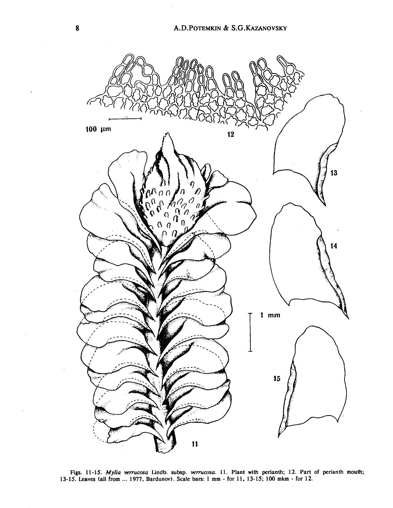

Figs. 11-15. Mylia verrucosa Lindb. subsp. verrucosa. 11. Plant with perianth; 12. Part of perianth mouth; 13-15. Leaves (all from ... 1977, Bardunov). Scale bars: 1 mm - for 11, 13-15; 100 mkm - for 12.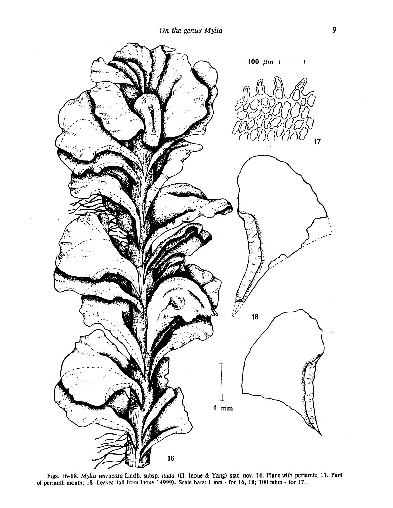

Figs. 16-18. Mylia verrucosa Lindb. subsp. nuda (H. Inoue & Yang) stat. nov. 16. Plant with perianth; 17. Part of perianth mouth; 18. Leaves (all from Inoue 14999). Scale bars: 1 mm - for 16, 18; 100 mkm - for 17.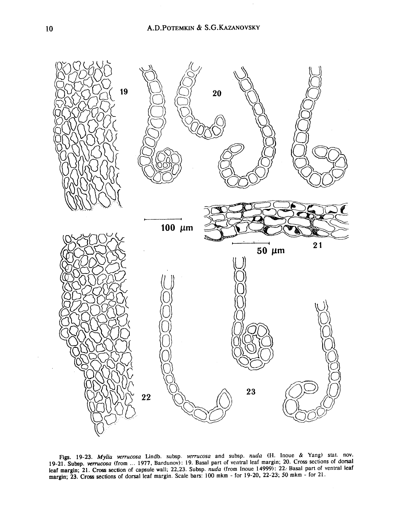

Figs. 19-23. Mylia verrucosa Lindb. subsp. verrucosa and subsp. nuda (H. Inoue & Yang) stat. nov.<br>19-21. Subsp. verrucosa (from ... 1977, Bardunov): 19. Basal part of ventral leaf margin; 20. Cross sections of dorsal leaf margin; 21. Cross section of capsule wall; 22,23. Subsp. *nuda* (from Inoue 14999): 22. Basal part of ventral leaf margin; 23. Cross sections of dorsal leaf margin. Scale bars: 100 mkm - for 19-20, 22-23; 50 mkm - for